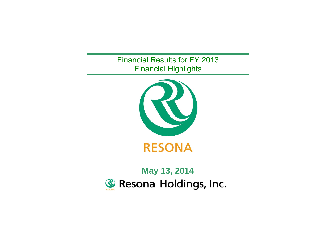Financial Results for FY 2013 Financial Highlights



# **May 13, 2014**Resona Holdings, Inc.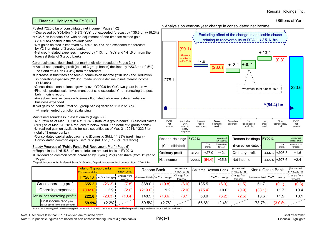(Billions of Yen)

# I. Financial Highlights for FY2013

#### Posted Y220.6 bn of consolidated net income (Pages 1-2)

<sup>⇒</sup>Decreased by Y54.4bn (-19.8%) YoY, but exceeded forecast by Y35.6 bn (+19.2%)

<sup>⇒</sup>Y35.6 bn increase YoY wtih an adjustment of one-time tax-related gain

- (Y90.1 bn) posted in the previous year
- ・Net gains on stocks improved by Y30.1 bn YoY and exceeded the forecast by Y2.3 bn (total of 3 group banks)
- ・Net credit-related expenses improved by Y13.4 bn YoY and Y41.6 bn from the forecast (total of 3 group banks)

#### Core businesses flourished, but market division receded (Pages 3-4)

- <sup>⇒</sup>Actual net operating profit (total of 3 group banks) declined by Y23.3 bn (-9.5%) YoY and Y10.4 bn (-4.4%) from the forecast
- <sup>⇒</sup>Increase in trust fees and fees & commission income (Y10.0bn) and reduction in operating expenses (Y2.9bn) made up for a decline in net interest income (Y12.0bn)
- ・Consolidated loan balance grew by over Y200.0 bn YoY, two years in a row ・Financial product sale: Investment trust sale exceeded Y1 tn, renewing the post-Lehmn crisis record
- ・Asset/business succession business flourished while real estate mediation business expanded
- <sup>⇔</sup>Net gains on bonds (total of 3 group banks) declined Y23.2 bn YoY
- ⇒ Implemented portfolio rebalancing

## Maintained soundness in asset quality (Page 5.7)

・NPL ratio as of Mar. 31, 2014 at 1.74 % (total of 3 group banks), Classified claims (NPL) as of Mar. 31, 2014 reduced to below Y500.0 bn (total of 3 group banks) ・Unrealized gain on available-for-sale securities as of Mar. 31, 2014: Y332.8 bn (total of 3 group banks)

・Consolidated capital adequacy ratio (Domestic Std.): 14.33% (preliminary) ・Consolidated common equity Tier1 ratio (Int'l Std.): 7.73% (reference)

#### Steady Progress of "Public Funds Full Repayment Plan" (Page 6)

<sup>⇒</sup>Repaid in total Y515.6 bn\* on an infusion amount basis in FY2013

- <sup>⇒</sup>Dividend on common stock increased by 3 yen (+25%) per share (from 12 yen to 15 yen)
- \*Deposit Insurance Act Preferred Stock: Y254.0 bn, Deposit Insurance Act Common Stock: Y261.6 bn



| Resona Holdings FY2013 |       |               | (Announced<br>in Nov. 2013) |  | Resona Holdings FY2013 |       |               | (Announced<br>in Nov. 2013) |
|------------------------|-------|---------------|-----------------------------|--|------------------------|-------|---------------|-----------------------------|
| (Consolidated)         |       | YoY<br>change | Change from<br>forecast     |  | (Non-consolidated)     |       | YoY<br>change | Change from<br>forecast     |
| Ordinary profit        | 312.1 | $+27.0$       | $+42.1$                     |  | Ordinary profit        | 444.6 | +206.8        | $+1.6$                      |
| Net income             | 220.6 | (54.4)        | $+35.6$                     |  | Net income             | 445.4 | $+207.6$      | $+24$                       |

|  |                                                                | <b>Total of 3 group banks</b><br>(Non-consolidated) |             | (Announced<br>in Nov. 2013) |         | Resona Bank                   | (Announced<br>in Nov. 2013) |        | Saitama Resona Bank | (Announced<br>in Nov. 2013) |        | Kinnki Osaka Bank             | (Announced<br>in Nov. 2013) |
|--|----------------------------------------------------------------|-----------------------------------------------------|-------------|-----------------------------|---------|-------------------------------|-----------------------------|--------|---------------------|-----------------------------|--------|-------------------------------|-----------------------------|
|  |                                                                | <b>FY2013</b>                                       | YoY change! | Change from<br>forecast     |         | (Non-consolidated) YoY change | Change from<br>forecast     |        | YoY change          | Change from<br>forecast     |        | (Non-consolidated) YoY change | Change from<br>forecast     |
|  | <b>Gross operating profit</b>                                  | 555.2                                               | (26.3)      | (7.8)                       | 368.0   | (19.8)                        | (6.0)                       | 135.5  | (6.3)               | (1.5)                       | 51.7   | (0.1)                         | (0.3)                       |
|  | Operating expenses                                             | (332.6)                                             | $+2.9$      | (2.6)                       | (219.0) | $+1.2$                        | (2.0)                       | (75.4) | $+0.0$              | (0.9)                       | (38.1) | $+1.7$                        | $+0.4$                      |
|  | Actual net operating profit*                                   | 222.6                                               | (23.3)      | (10.4)                      | 148.9   | (18.6)                        | (8.1)                       | 60.0   | (6.2)               | (2.5)                       | 13.6   | $+1.5$                        | $+0.1$                      |
|  | Cost income ratio (after<br>NPL disposal in the trust account) | <b>59.9%</b>                                        | $+2.2%$     |                             | 59.5%   | $+2.7%$                       |                             | 55.6%  | $+2.4%$             |                             | 73.7%  | $(3.0)\%$                     |                             |

\* Actual net operating profit: net operating profit before NPL disposal in the trust account and before provision to general reserve for possible loan losses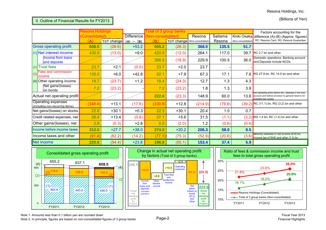# II. Outline of Financial Results for FY2013

(Billions of Yen)

|     |                                                              | Resona Holdings |                  |            |                   | Total of 3 group banks        |         |         |                    | Factors accounting for the                                                                                                           |  |  |
|-----|--------------------------------------------------------------|-----------------|------------------|------------|-------------------|-------------------------------|---------|---------|--------------------|--------------------------------------------------------------------------------------------------------------------------------------|--|--|
|     |                                                              | Consolidated)   |                  | Difference | lon-consolidated) |                               | Resona  | Saitama |                    | Kinki Osaka difference (A)-(B) (Approx. figures)                                                                                     |  |  |
|     |                                                              | (A)             | YoY change (A) - | (B)        | (B)               | YoY change (Non-consolidated) |         | Resona  | (Non-consolidated) | RC: Resona Card, RG: Resona Guarantee                                                                                                |  |  |
|     | <b>Gross operating profit</b>                                | 608.5           | (28.6)           | $+53.2$    | 555.2             | (26.3)                        | 368.0   | 135.5   | 51.7               |                                                                                                                                      |  |  |
|     | (1) Net interest income                                      | 430.0           | (13.0)           | $+9.0$     | 420.9             | (12.0)                        | 264.1   | 117.0   | 39.7               | $RC$ 2.7 bn and other                                                                                                                |  |  |
|     | Income from loans<br>and deposits                            |                 |                  |            | 366.5             | (18.9)                        | 229.9   | 100.5   | 36.0               | Domestic operations, Banking account<br>and Deposits include NCDs                                                                    |  |  |
|     | $(2)$ Trust fees                                             | 23.7            | $+2.1$           | (0.0)      | 23.7              | $+2.0$                        | 23.7    |         |                    |                                                                                                                                      |  |  |
| (3) | <b>Fees and commission</b><br>income                         | 135.0           | $+6.0$           | $+42.8$    | 92.1              | $+7.9$                        | 67.3    | 17.1    |                    | 7.6 RG 27.9 bn, RC 14.0 bn and other                                                                                                 |  |  |
|     | $(4)$ Other operating income                                 | 19.7            | (23.7)           | $+1.2$     | 18.4              | (24.3)                        | 12.7    | 1.3     | 4.3                |                                                                                                                                      |  |  |
|     | Net gains/(losses)<br>on bonds                               | 7.2             | (23.2)           |            | 7.2               | (23.2)                        | 1.8     | 1.3     | 3.9                |                                                                                                                                      |  |  |
|     | Actual net operating profit                                  |                 |                  |            | 222.6             | (23.3)                        | 148.9   | 60.0    | 13.6               | Net operating profit before NPL disposal in the trust<br>account and before provision to general reserve for<br>possible loan losses |  |  |
|     | <b>Operating expenses</b><br>(including non-recurring items) | (348.4)         | $+13.1$          | (17.6)     | (330.8)           | $+12.8$                       | (214.9) | (76.6)  |                    | (39.2) RC (11.1) bn, RG (3.2) bn and other                                                                                           |  |  |
|     | Net gains/(losses) on stocks                                 | 22.6            | $+30.1$          | $+0.3$     | 22.3              | $+30.1$                       | 20.4    | 1.0     | 0.7                |                                                                                                                                      |  |  |
|     | Credit related expenses, net                                 | 26.4            | $+13.4$          | (0.6)      | 27.1              | $+5.6$                        | 31.5    | (1.1)   |                    | $(3.2)$ RG 1.4 bn, RC (1.4) bn and other                                                                                             |  |  |
|     | Other gains/(losses), net                                    | 2.9             | (0.3)            | $+2.8$     | 0.0               | (2.0)                         | 1.2     | (0.6)   | (0.4)              |                                                                                                                                      |  |  |
|     | Income before income taxes                                   | 312.0           | $+27.7$          | $+38.0$    | 274.0             | $+20.2$                       | 206.3   | 58.0    | 9.5                |                                                                                                                                      |  |  |
|     | Income taxes and other                                       | (91.4)          | (82.2)           | (14.2)     | (77.1)            | (75.3)                        | (52.9)  | (20.6)  | (3.6)              | Minority interests in net income (6.8) bn,<br>Income tax of RHD and other (7.4) bn                                                   |  |  |
|     | <b>Net income</b>                                            | 220.6           | (54.4)           | $+23.8$    | 196.8             | (55.1)                        | 153.4   | 37.4    | 5.9                |                                                                                                                                      |  |  |







Note 1. Amounts less than 0.1 billion yen are rounded down

Note 2. In principle, figures are based on non-consolidated figures of 3 group banks Page-2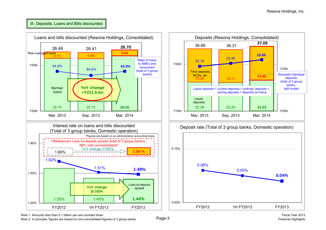## III. Deposits, Loans and Bills discounted



Note 1. Amounts less than 0.1 billion yen are rounded down

Note 2. In principle, figures are based on non-consolidated figures of 3 group banks Page-3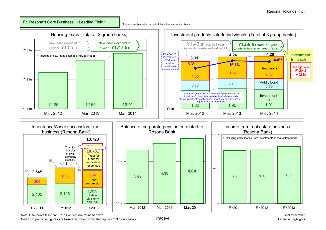IV. Resona's Core Business  $\thicksim$ Leading Field $\thicksim$ 

\*Figures are based on an administrative accounting basis.



Note 1. Amounts less than 0.1 billion yen are rounded down

Note 2. In principle, figures are based on non-consolidated figures of 3 group banks Page-4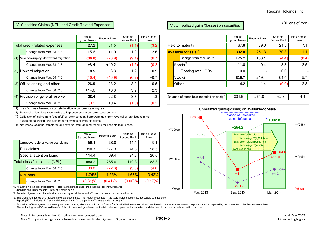## V. Classified Claims (NPL) and Credit Related Expenses VI. University VI. Unrealized gains/(losses) on securities

|                                        | Total of<br>3 group banks | Resona Bank | Saitama<br>Resona Bank | Kinki Osaka<br>Bank |                                                       | Total of<br>3 group banks | Resona Bank | Saitama<br>Resona Bank | Kinki Osaka<br>Bank |
|----------------------------------------|---------------------------|-------------|------------------------|---------------------|-------------------------------------------------------|---------------------------|-------------|------------------------|---------------------|
| Total credit-related expenses          | 27.1                      | 31.5        | (1.1)                  | (3.2)               | Held to maturity                                      | 67.8                      | 39.0        | 21.5                   | 7.1                 |
| Change from Mar. 31, '13               | $+5.6$                    | $+1.9$      | $+1.0$                 | $+2.6$              | Available for sale <sup>*3</sup>                      | 332.8                     | 251.3       | 70.3                   | 11.1                |
| (1) New bankruptcy, downward migration | (36.8)                    | (20.9)      | (9.1)                  | (6.7)               | Change from Mar. 31, '13                              | $+75.2$                   | $+80.1$     | (4.4)                  | (0.4)               |
| Change from Mar. 31, '13               | $+8.4$                    | $+10.2$     | (1.5)                  | (0.2)               | Bonds <sup>*4</sup>                                   | 11.8                      | 0.4         | 8.8                    | 2.5                 |
| $(2)$ Upward migration                 | 8.5                       | 6.3         | 1.2                    | 0.9                 | Floating rate JGBs                                    | 0.0                       |             | 0.0                    |                     |
| Change from Mar. 31, '13               | (16.4)                    | (16.9)      | (0.2)                  | $+0.7$              | <b>Stocks</b>                                         | 316.7                     | 249.4       | 61.4                   | 5.7                 |
| $(3)$ Off-balancing and other          | 26.9                      | 23.2        | 3.0                    | 0.5                 | Other                                                 | 4.2                       | 1.4         | (0.0)                  | 2.8                 |
| Change from Mar. 31, '13               | $+14.6$                   | $+8.3$      | $+3.9$                 | $+2.3$              |                                                       |                           |             |                        |                     |
| $(4)$ Provision of general reserve     | 28.4                      | 22.8        | 3.7                    | 1.8                 | Balance of stock held (acquisition cost) <sup>2</sup> | 331.6                     | 264.8       | 62.3                   | 4.4                 |
| Change from Mar. 31, '13               | (0.9)                     | $+0.4$      | (1.0)                  | (0.2)               |                                                       |                           |             |                        |                     |

(1) Loss from new bankruptcy or deterioration in borrower category, etc.

(2) Reversal of loan loss reserve due to improvements in borrower category, etc.

(3) Collection of claims from "doubtful" or lower category borrowers, gain from reversal of loan loss reserve due to off-balancing, and gain from recoveries of write-off claims

(4) Net impact of actual transfer to and reversal from general reserve for possible loan losses

|                               |                                   | Total of<br>3 group banks | Resona Bank | Saitama<br>Resona Bank | Kinki Osaka<br>Bank |
|-------------------------------|-----------------------------------|---------------------------|-------------|------------------------|---------------------|
|                               | Unrecoverable or valueless claims | 59.1                      | 38.8        | 11.1                   | 9.1                 |
|                               | <b>Risk claims</b>                | 310.7                     | 177.3       | 74.8                   | 58.5                |
|                               | Special attention loans           | 114.4                     | 69.4        | 24.3                   | 20.6                |
| Total classified claims (NPL) |                                   | 484.3                     | 285.6       | 110.3                  | 88.3                |
|                               | Change from Mar. 31, '13          | (80.8)                    | (72.6)      | (3.5)                  | (4.6)               |
|                               | NPL ratio <sup>*1</sup>           | 1.74%                     | 1.55%       | 1.63%                  | 3.42%               |
|                               | Change from Mar. 31, '13          | $(0.31)\%$                | $(0.41)\%$  | $(0.06)\%$             | $(0.17)\%$          |

\*1. NPL ratio = Total classified claims / Total claims defined under the Financial Reconstruction Act. (Banking and trust accounts) (Total of 3 group banks)

\*2. Reported figures do not include stocks issued by subsidiaries and affiliated companies and unlisted stocks.

(Billions of Yen)

|                                | Total of<br>3 group banks | Resona Bank   | Saitama<br>Resona Bank | Kinki Osaka<br>Bank |                                       |                          | Total of<br>3 group banks | Resona Bank | Saitama<br>Resona Bank | Kinki Osaka<br>Bank |
|--------------------------------|---------------------------|---------------|------------------------|---------------------|---------------------------------------|--------------------------|---------------------------|-------------|------------------------|---------------------|
| edit-related expenses          | 27.1                      | 31.5          | (1.1)                  | (3.2)               | <b>Held to maturity</b>               |                          | 67.8                      | 39.0        | 21.5                   |                     |
| Change from Mar. 31, '13       | $+5.6$                    | $+1.9$        | $+1.0$                 | $+2.6$              | <b>Available for sale<sup>3</sup></b> |                          | 332.8                     | 251.3       | 70.3                   | 11.1                |
| bankruptcy, downward migration | (36.8)                    | (20.9)        | (9.1)                  | (6.7)               |                                       | Change from Mar. 31, '13 | $+75.2$                   | $+80.1$     | (4.4)                  | (0.4)               |
| Change from Mar. 31, '13       | $+8.4$                    | $+10.2$       | (1.5)                  | (0.2)               |                                       | Bonds <sup>*4</sup>      | 11.8                      | 0.4         | 8.8                    | 2.5                 |
| vard migration                 | 8.5                       | 6.3           | 1.2                    | 0.9                 |                                       | Floating rate JGBs       | 0.0                       |             | 0.0                    |                     |
| Change from Mar. 31, '13       | (16.4)                    | (16.9)        | (0.2)                  | $+0.7$              | <b>Stocks</b>                         |                          | 316.7                     | 249.4       | 61.4                   | 5.7                 |
| balancing and other            | 26.9                      | 23.2          | 3.0                    | 0.5                 | Other                                 |                          | 4.2                       | 1.4         | (0.0)                  | 2.8                 |
|                                | $\overline{a}$            | $\sim$ $\sim$ | $\sim$ $\sim$          | $\sim$ $\sim$       |                                       |                          |                           |             |                        |                     |

| Balance of stock held (acquisition cost) <sup>2</sup> | ، גהר | 264.8 |  |
|-------------------------------------------------------|-------|-------|--|
|                                                       |       |       |  |



\*3. The presented figures only include marketable securities. The figures presented in the table include securities, negotiable certificates of deposit (NCDs) included in "cash and due from banks" and a portion of "monetary claims bought."

\*4. Fair values of floating-rate Japanese government bonds, which are included in "bonds" in "Available-for-sale securities", are based on the reference transaction price statistics prepared by the Japan Securities Dealers These floating-rate JGBs would have Y1.2 bn of unrealized gain based on the fair values computed with a valuation model utilized for an internal administration purpose.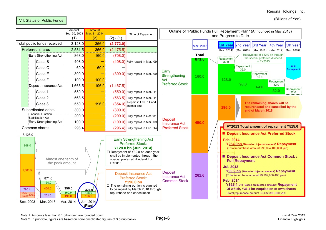Resona Holdings, Inc.

## VII. Status of Public Funds

(Billions of Yen)

|                                                                                                          |                             | Amount<br>Sep. 30, 2003<br>(1) | <b>Amount</b><br>Mar. 31, 2014<br>(2) | $(2) - (1)$                                                                                                                                                                                                                                                                        | Time of Repayment                                                                  |                                                               |                   | Outline of "Public Funds Full Repayment Plan" (Announced in May 2013)<br>and Progress to Date                                                                                                                                                                                                           |
|----------------------------------------------------------------------------------------------------------|-----------------------------|--------------------------------|---------------------------------------|------------------------------------------------------------------------------------------------------------------------------------------------------------------------------------------------------------------------------------------------------------------------------------|------------------------------------------------------------------------------------|---------------------------------------------------------------|-------------------|---------------------------------------------------------------------------------------------------------------------------------------------------------------------------------------------------------------------------------------------------------------------------------------------------------|
|                                                                                                          | Total public funds received | 3,128.0                        | 356.0                                 | (2,772.0)                                                                                                                                                                                                                                                                          |                                                                                    |                                                               | Mar. 2013         | 2nd Year   3rd Year   4th Year<br>5th Year<br>1st Year                                                                                                                                                                                                                                                  |
|                                                                                                          | <b>Preferred shares</b>     | 2,531.5                        | 356.0                                 | (2, 175.5)                                                                                                                                                                                                                                                                         |                                                                                    |                                                               |                   | (Mar. 2014) (Mar. 2015) (Mar. 2016) (Mar. 2017) (Mar. 2018)                                                                                                                                                                                                                                             |
|                                                                                                          | Early Strengthening Act     | 868.0                          | 160.0                                 | (708.0)                                                                                                                                                                                                                                                                            |                                                                                    |                                                               | <b>Total</b>      | Repayment of Y32.0 bn through<br>the special preferred dividend<br>Repayment                                                                                                                                                                                                                            |
|                                                                                                          | Class B                     | 408.0                          | $\overline{\phantom{0}}$              |                                                                                                                                                                                                                                                                                    | $(408.0)$ Fully repaid in Mar. '09                                                 |                                                               | 871.6             | in FY2013<br>32.0                                                                                                                                                                                                                                                                                       |
|                                                                                                          | Class C                     | 60.0                           | 60.0                                  |                                                                                                                                                                                                                                                                                    |                                                                                    |                                                               |                   | Repayment<br>Full:<br>32.0<br>रेepayment                                                                                                                                                                                                                                                                |
|                                                                                                          | Class E                     | 300.0                          | $\overline{\phantom{0}}$              |                                                                                                                                                                                                                                                                                    | (300.0) Fully repaid in Mar. '09                                                   | Early<br>Strengthening                                        | 160.0             | Repayment<br>32.0                                                                                                                                                                                                                                                                                       |
|                                                                                                          | Class F                     | 100.0                          | 100.0                                 |                                                                                                                                                                                                                                                                                    |                                                                                    | Act                                                           |                   | 128.0<br>Repayment                                                                                                                                                                                                                                                                                      |
|                                                                                                          | Deposit Insurance Act       | 1,663.5                        | 196.0                                 | (1,467.5)                                                                                                                                                                                                                                                                          |                                                                                    | <b>Preferred Stock</b>                                        |                   | 96.0<br>32.0<br>64.0<br>Repayment                                                                                                                                                                                                                                                                       |
|                                                                                                          | Class 1                     | 550.0                          | $\overline{\phantom{0}}$              |                                                                                                                                                                                                                                                                                    | (550.0) Fully repaid in Mar. '11                                                   |                                                               |                   | 32.0<br>32.0                                                                                                                                                                                                                                                                                            |
|                                                                                                          | Class 2                     | 563.5                          | $\overline{\phantom{0}}$              |                                                                                                                                                                                                                                                                                    | $(563.5)$ Fully repaid in Mar. '11                                                 |                                                               |                   |                                                                                                                                                                                                                                                                                                         |
| Class 3                                                                                                  |                             | 550.0                          | 196.0                                 | (354.0)                                                                                                                                                                                                                                                                            | Repaid in Feb. '14 and<br>another time                                             |                                                               |                   | The remaining shares will be<br>repurchased and cancelled by the<br>196.0                                                                                                                                                                                                                               |
| Subordinated debts<br><b>Financial Function</b>                                                          | 300.0                       | $\overline{\phantom{0}}$       | (300.0)                               |                                                                                                                                                                                                                                                                                    |                                                                                    |                                                               | end of March 2018 |                                                                                                                                                                                                                                                                                                         |
| <b>Stabilization Act</b>                                                                                 |                             | 200.0                          | -                                     |                                                                                                                                                                                                                                                                                    | (200.0) Fully repaid in Oct. '05                                                   | <b>Deposit</b>                                                |                   |                                                                                                                                                                                                                                                                                                         |
|                                                                                                          | Early Strengthening Act     | 100.0                          | —                                     |                                                                                                                                                                                                                                                                                    | $(100.0)$ Fully repaid in Mar. '09                                                 | <b>Insurance Act</b>                                          | 450.0             |                                                                                                                                                                                                                                                                                                         |
|                                                                                                          | Common shares               | 296.4                          | —                                     |                                                                                                                                                                                                                                                                                    | (296.4) Fully repaid in Feb. '14                                                   | <b>Preferred Stock</b>                                        |                   | FY2013 Total amount of repayment Y515.6                                                                                                                                                                                                                                                                 |
| 3,128.0<br>868.0                                                                                         |                             |                                |                                       |                                                                                                                                                                                                                                                                                    | <b>Early Strengthening Act</b><br><b>Preferred Stock:</b><br>Y128.0 bn (Jun. 2014) |                                                               |                   | Deposit Insurance Act Preferred Stock<br><b>Feb. 2014</b><br>Y254.0bn (Based on injected amount) Repayment<br>(Total repurchase amount 298,094,400,000 yen)                                                                                                                                             |
| Almost one tenth of<br>the peak amount<br>1,663.5<br>871.6<br>160.0<br>450.0<br>296.4                    |                             | 356.0                          | 324.0                                 | □ Repayment of Y32.0 bn each year<br>shall be implemented through the<br>special preferred dividend from<br>FY2013<br><b>Deposit Insurance Act</b><br><b>Preferred Stock:</b><br><b>Y196.0 bn</b><br>$\Box$ The remaining portion is planned<br>to be repaid by March 2018 through |                                                                                    | <b>Deposit</b><br><b>Insurance Act</b><br><b>Common Stock</b> | 261.6             | Deposit Insurance Act Common Stock:<br><b>Full Repayment</b><br><b>Jul. 2013</b><br>Y99.2 bn (Based on injected amount) Repayment<br>(Total repurchase amount 99,999,950,400 yen)<br><b>Feb. 2014</b><br>Y162.4 bn (Based on injected amount) Repayment<br>Of which, Y36.4 bn Acquisition of own shares |
| 160.0<br>128.0<br>Sub<br>Debt 300.<br>261.6<br>196.0<br>Jun. 2014<br>Sep. 2003<br>Mar. 2013<br>Mar. 2014 |                             |                                |                                       |                                                                                                                                                                                                                                                                                    | repurchase and cancellation                                                        |                                                               |                   | (Total repurchase amount 36,432,396,000 yen)<br><u>.</u>                                                                                                                                                                                                                                                |

(Plan)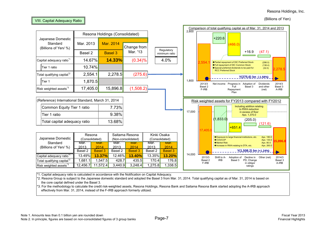(Billions of Yen)



\*1. Capital adequacy ratio is calculated in accordance with the Notification on Capital Adequacy.

\*2. Resona Group is subject to the Japanese domestic standard and adopted the Basel 3 from Mar. 31, 2014. Total qualifying capital as of Mar. 31, 2014 is based on the core capital defined under the Basel 3.

\*3. For the methodology to calculate the credit risk-weighted assets, Resona Holdings, Resona Bank and Saitama Resona Bank started adopting the A-IRB approach effectively from Mar. 31, 2014, instead of the F-IRB approach formerly utilized.